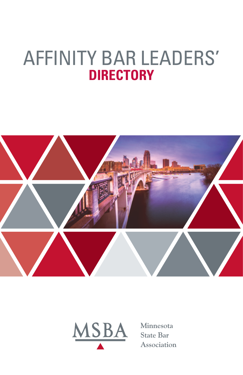# AFFINITY BAR LEADERS' **DIRECTORY**





**Minnesota State Bar Association**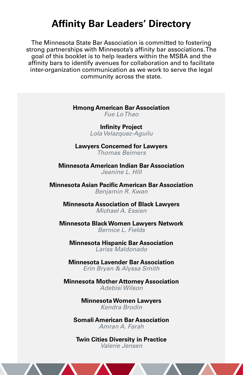### **Affinity Bar Leaders' Directory**

The Minnesota State Bar Association is committed to fostering strong partnerships with Minnesota's affinity bar associations. The goal of this booklet is to help leaders within the MSBA and the affinity bars to identify avenues for collaboration and to facilitate inter-organization communication as we work to serve the legal community across the state.

#### **Hmong American Bar Association**

Fue Lo Thao

**Infinity Project**  Lola Velazquez-Aguilu

**Lawyers Concerned for Lawyers** Thomas Beimers

**Minnesota American Indian Bar Association** Jeanine L. Hill

**Minnesota Asian Pacific American Bar Association** Benjamin R. Kwan

**Minnesota Association of Black Lawyers**  Michael A. Essien

**Minnesota Black Women Lawyers Network** Bernice L. Fields

**Minnesota Hispanic Bar Association** Lariss Maldonado

**Minnesota Lavender Bar Association**  Erin Bryan & Alyssa Smith

**Minnesota Mother Attorney Association** Adebisi Wilson

> **Minnesota Women Lawyers** Kendra Brodin

**Somali American Bar Association** Amran A. Farah

**Twin Cities Diversity in Practice** Valerie Jensen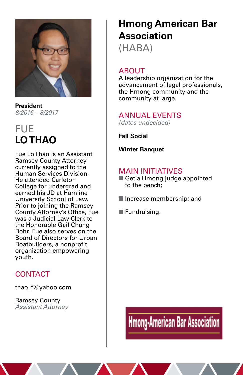

**President** 8/2016 – 8/2017

### FUE **LO THAO**

Fue Lo Thao is an Assistant Ramsey County Attorney currently assigned to the Human Services Division. He attended Carleton College for undergrad and earned his JD at Hamline University School of Law. Prior to joining the Ramsey County Attorney's Office, Fue was a Judicial Law Clerk to the Honorable Gail Chang Bohr. Fue also serves on the Board of Directors for Urban Boatbuilders, a nonprofit organization empowering youth.

#### **CONTACT**

thao\_f@yahoo.com

Ramsey County Assistant Attorney

## **Hmong American Bar Association**

(HABA)

#### ABOUT

A leadership organization for the advancement of legal professionals, the Hmong community and the community at large.

#### ANNUAL EVENTS (dates undecided)

**Fall Social** 

**Winter Banquet** 

#### MAIN INITIATIVES

- $\blacksquare$  Get a Hmong judge appointed to the bench;
- $\blacksquare$  Increase membership; and
- $\blacksquare$  Fundraising.

# **Hmong-American Bar Association**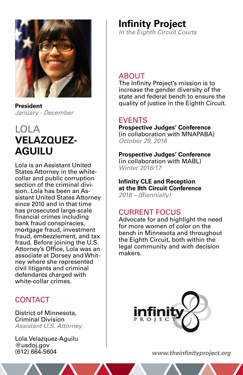

**President**  January - December

### LOLA **VELAZQUEZ-AGUILU**

Lola is an Assistant United States Attorney in the whitecollar and public corruption section of the criminal division. Lola has been an Assistant United States Attorney since 2010 and in that time has prosecuted large-scale financial crimes including bank fraud conspiracies, mortgage fraud, investment fraud, embezzlement, and tax fraud. Before joining the U.S. Attorney's Office, Lola was an associate at Dorsey and Whitney where she represented civil litigants and criminal defendants charged with white-collar crimes.

#### **CONTACT**

District of Minnesota, Criminal Division Assistant U.S. Attorney

Lola.Velazquez-Aguilu @usdoj.gov (612) 664-5604

### **Infinity Project**

In the Eighth Circuit Courts

#### ABOUT

The Infinity Project's mission is to increase the gender diversity of the state and federal bench to ensure the quality of justice in the Eighth Circuit.

#### EVENTS

**Prospective Judges' Conference**  (in collaboration with MNAPABA) October 29, 2016

**Prospective Judges' Conference**  (in collaboration with MABL) Winter 2016/17

**Infinity CLE and Reception at the 8th Circuit Conference** 

2018 – (Biennially)

#### CURRENT FOCUS

Advocate for and highlight the need for more women of color on the bench in Minnesota and throughout the Eighth Circuit, both within the legal community and with decision makers.



*www.theinfinityproject.org*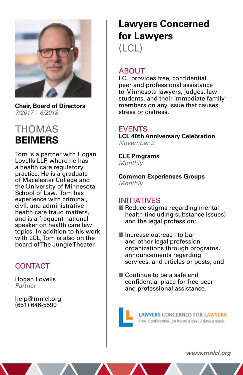

**Chair, Board of Directors**  7/2017 – 6/2018

### THOMAS **BEIMERS**

Tom is a partner with Hogan Lovells LLP, where he has a health care regulatory practice. He is a graduate of Macalester College and the University of Minnesota School of Law. Tom has experience with criminal, civil, and administrative health care fraud matters, and is a frequent national speaker on health care law topics. In addition to his work with LCL, Tom is also on the board of The Jungle Theater.

#### **CONTACT**

Hogan Lovells Partner

help@mnlcl.org (651) 646-5590

### **Lawyers Concerned for Lawyers** (LCL)

#### ABOUT

LCL provides free, confidential peer and professional assistance to Minnesota lawyers, judges, law students, and their immediate family members on any issue that causes stress or distress.

#### EVENTS

**LCL 40th Anniversary Celebration** November 9

**CLE Programs Monthly** 

**Common Experiences Groups Monthly** 

#### INITIATIVES

- $\blacksquare$  Reduce stigma regarding mental health (including substance issues) and the legal profession;
- Increase outreach to bar and other legal profession organizations through programs, announcements regarding services, and articles or posts; and
- $\blacksquare$  Continue to be a safe and confidential place for free peer and professional assistance.



**LAWYERS CONCERNED FOR LAWYERS** Free. Confidential. 24 hours a day, 7 days a week.

*www.mnlcl.org*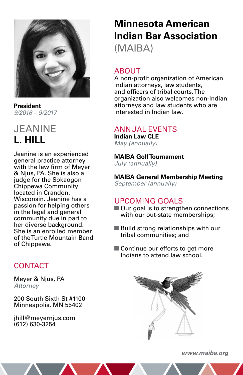

**President**  9/2016 – 9/2017

### JEANINE **L. HILL**

Jeanine is an experienced general practice attorney with the law firm of Meyer & Njus, PA. She is also a judge for the Sokaogon Chippewa Community located in Crandon, Wisconsin. Jeanine has a passion for helping others in the legal and general community due in part to her diverse background. She is an enrolled member of the Turtle Mountain Band of Chippewa.

#### **CONTACT**

Meyer & Njus, PA **Attorney** 

200 South Sixth St #1100 Minneapolis, MN 55402

jhill@meyernjus.com (612) 630-3254

### **Minnesota American Indian Bar Association**  (MAIBA)

### ABOUT

A non-profit organization of American Indian attorneys, law students, and officers of tribal courts. The organization also welcomes non-Indian attorneys and law students who are interested in Indian law.

#### ANNUAL EVENTS

**Indian Law CLE** May (annually)

**MAIBA Golf Tournament** July (annually)

**MAIBA General Membership Meeting** September (annually)

#### UPCOMING GOALS

- $\blacksquare$  Our goal is to strengthen connections with our out-state memberships;
- $\blacksquare$  Build strong relationships with our tribal communities; and
- $\blacksquare$  Continue our efforts to get more Indians to attend law school.



*www.maiba.org*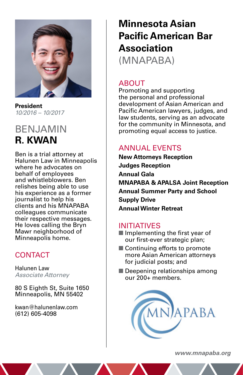

**President**  10/2016 – 10/2017

### BENJAMIN **R. KWAN**

Ben is a trial attorney at Halunen Law in Minneapolis where he advocates on behalf of employees and whistleblowers. Ben relishes being able to use his experience as a former journalist to help his clients and his MNAPABA colleagues communicate their respective messages. He loves calling the Bryn Mawr neighborhood of Minneapolis home.

#### **CONTACT**

Halunen Law Associate Attorney

80 S Eighth St, Suite 1650 Minneapolis, MN 55402

kwan@halunenlaw.com (612) 605-4098

### **Minnesota Asian Pacific American Bar Association** (MNAPABA)

### ABOUT

Promoting and supporting the personal and professional development of Asian American and Pacific American lawyers, judges, and law students, serving as an advocate for the community in Minnesota, and promoting equal access to justice.

### ANNUAL EVENTS

**New Attorneys Reception Judges Reception Annual Gala MNAPABA & APALSA Joint Reception Annual Summer Party and School Supply Drive Annual Winter Retreat**

#### INITIATIVES

- $\blacksquare$  Implementing the first year of our first-ever strategic plan;
- $\blacksquare$  Continuing efforts to promote more Asian American attorneys for judicial posts; and
- $\blacksquare$  Deepening relationships among our 200+ members.



*www.mnapaba.org*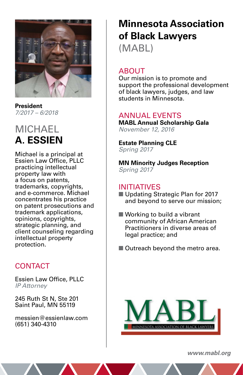

**President** 7/2017 – 6/2018

### **MICHAEL A. ESSIEN**

Michael is a principal at Essien Law Office, PLLC practicing intellectual property law with a focus on patents, trademarks, copyrights, and e-commerce. Michael concentrates his practice on patent prosecutions and trademark applications, opinions, copyrights, strategic planning, and client counseling regarding intellectual property protection.

#### **CONTACT**

Essien Law Office, PLLC IP Attorney

245 Ruth St N, Ste 201 Saint Paul, MN 55119

messien@essienlaw.com (651) 340-4310

## **Minnesota Association of Black Lawyers**

(MABL)

#### ABOUT

Our mission is to promote and support the professional development of black lawyers, judges, and law students in Minnesota.

#### ANNUAL EVENTS

**MABL Annual Scholarship Gala** November 12, 2016

**Estate Planning CLE** Spring 2017

**MN Minority Judges Reception** Spring 2017

#### INITIATIVES

- Updating Strategic Plan for 2017 and beyond to serve our mission;
- $\blacksquare$  Working to build a vibrant community of African American Practitioners in diverse areas of legal practice; and
- $\blacksquare$  Outreach beyond the metro area.



*www.mabl.org*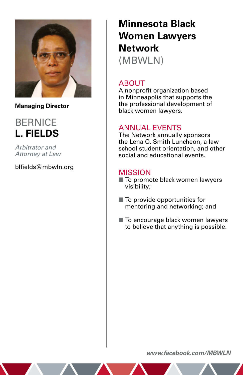

**Managing Director** 

### **BERNICF L. FIELDS**

Arbitrator and Attorney at Law

blfields@mbwln.org

### **Minnesota Black Women Lawyers Network** (MBWLN)

#### **ABOUT**

A nonprofit organization based in Minneapolis that supports the the professional development of black women lawyers.

#### ANNUAL EVENTS

The Network annually sponsors the Lena O. Smith Luncheon, a law school student orientation, and other social and educational events.

#### MISSION

- To promote black women lawyers visibility;
- $\blacksquare$  To provide opportunities for mentoring and networking; and
- $\blacksquare$  To encourage black women lawyers to believe that anything is possible.

*www.facebook.com/MBWLN*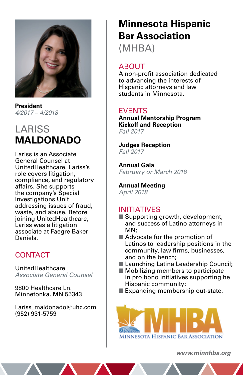

**President** 4/2017 – 4/2018

### LARISS **MALDONADO**

Lariss is an Associate General Counsel at UnitedHealthcare. Lariss's role covers litigation, compliance, and regulatory affairs. She supports the company's Special Investigations Unit addressing issues of fraud, waste, and abuse. Before joining UnitedHealthcare, Lariss was a litigation associate at Faegre Baker Daniels.

#### **CONTACT**

UnitedHealthcare Associate General Counsel

9800 Healthcare Ln. Minnetonka, MN 55343

Lariss\_maldonado@uhc.com (952) 931-5759

## **Minnesota Hispanic Bar Association**

(MHBA)

#### **ABOUT**

A non-profit association dedicated to advancing the interests of Hispanic attorneys and law students in Minnesota.

#### EVENTS

**Annual Mentorship Program Kickoff and Reception** Fall 2017

#### **Judges Reception**

Fall 2017

**Annual Gala** February or March 2018

**Annual Meeting** April 2018

#### INITIATIVES

- Supporting growth, development, and success of Latino attorneys in MN;
- $\blacksquare$  Advocate for the promotion of Latinos to leadership positions in the community, law firms, businesses, and on the bench;
- Launching Latina Leadership Council;
- $\blacksquare$  Mobilizing members to participate in pro bono initiatives supporting he Hispanic community;
- $\blacksquare$  Expanding membership out-state.



*www.minnhba.org*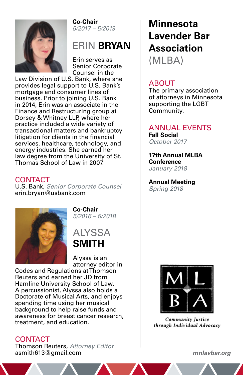

**Co-Chair** 5/2017 – 5/2019

### ERIN **BRYAN**

Erin serves as Senior Corporate Counsel in the

Law Division of U.S. Bank, where she provides legal support to U.S. Bank's mortgage and consumer lines of business. Prior to joining U.S. Bank in 2014, Erin was an associate in the Finance and Restructuring group at Dorsey & Whitney LLP, where her practice included a wide variety of transactional matters and bankruptcy litigation for clients in the financial services, healthcare, technology, and energy industries. She earned her law degree from the University of St. Thomas School of Law in 2007.

#### **CONTACT**

U.S. Bank, Senior Corporate Counsel erin.bryan@usbank.com



**Co-Chair**  5/2016 – 5/2018



Alyssa is an attorney editor in

Codes and Regulations at Thomson Reuters and earned her JD from Hamline University School of Law. A percussionist, Alyssa also holds a Doctorate of Musical Arts, and enjoys spending time using her musical background to help raise funds and awareness for breast cancer research, treatment, and education.

**CONTACT** Thomson Reuters, Attorney Editor asmith613@gmail.com

## **Minnesota Lavender Bar Association**

(MLBA)

#### ABOUT

The primary association of attorneys in Minnesota supporting the LGBT Community.

#### ANNUAL EVENTS **Fall Social**

October 2017

**17th Annual MLBA Conference**  January 2018

**Annual Meeting**  Spring 2018



**Community Justice** through Individual Advocacy

*mnlavbar.org*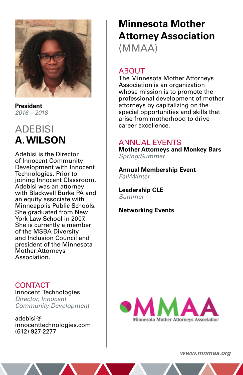

**President** 2016 – 2018

### **ADEBISI A. WILSON**

Adebisi is the Director of Innocent Community Development with Innocent Technologies. Prior to joining Innocent Classroom. Adebisi was an attorney with Blackwell Burke PA and an equity associate with Minneapolis Public Schools. She graduated from New York Law School in 2007. She is currently a member of the MSBA Diversity and Inclusion Council and president of the Minnesota Mother Attorneys Association.

**CONTACT** Innocent Technologies Director, Innocent Community Development

adebisi@ innocenttechnologies.com (612) 927-2277

### **Minnesota Mother Attorney Association** (MMAA)

#### ABOUT

The Minnesota Mother Attorneys Association is an organization whose mission is to promote the professional development of mother attorneys by capitalizing on the special opportunities and skills that arise from motherhood to drive career excellence.

#### ANNUAL EVENTS

**Mother Attorneys and Monkey Bars** Spring/Summer

**Annual Membership Event** Fall/Winter

**Leadership CLE** Summer

**Networking Events**



*www.mnmaa.org*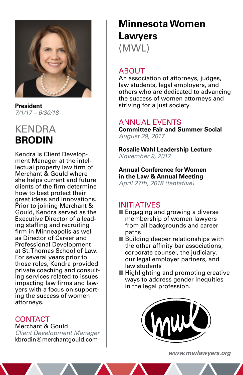

**President**  7/1/17 – 6/30/18

### KENDRA **BRODIN**

Kendra is Client Development Manager at the intellectual property law firm of Merchant & Gould where she helps current and future clients of the firm determine how to best protect their great ideas and innovations. Prior to joining Merchant & Gould, Kendra served as the Executive Director of a leading staffing and recruiting firm in Minneapolis as well as Director of Career and Professional Development at St. Thomas School of Law. For several years prior to those roles, Kendra provided private coaching and consulting services related to issues impacting law firms and lawyers with a focus on supporting the success of women attorneys.

#### **CONTACT** Merchant & Gould Client Development Manager kbrodin@merchantgould.com

### **Minnesota Women Lawyers** (MWL)

#### ABOUT

An association of attorneys, judges, law students, legal employers, and others who are dedicated to advancing the success of women attorneys and striving for a just society.

#### ANNUAL EVENTS

**Committee Fair and Summer Social** August 29, 2017

**Rosalie Wahl Leadership Lecture** November 9, 2017

**Annual Conference for Women in the Law & Annual Meeting** April 27th, 2018 (tentative)

#### INITIATIVES

- $\blacksquare$  Engaging and growing a diverse membership of women lawyers from all backgrounds and career paths
- $\blacksquare$  Building deeper relationships with the other affinity bar associations, corporate counsel, the judiciary, our legal employer partners, and law students
- $\blacksquare$  Highlighting and promoting creative ways to address gender inequities in the legal profession.



*www.mwlawyers.org*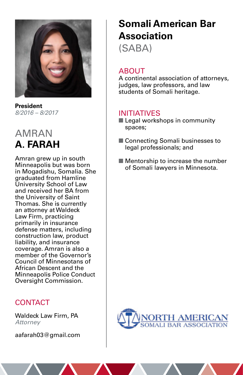

**President**  8/2016 – 8/2017

### AMRAN **A. FARAH**

Amran grew up in south Minneapolis but was born in Mogadishu, Somalia. She graduated from Hamline University School of Law and received her BA from the University of Saint Thomas. She is currently an attorney at Waldeck Law Firm, practicing primarily in insurance defense matters, including construction law, product liability, and insurance coverage. Amran is also a member of the Governor's Council of Minnesotans of African Descent and the Minneapolis Police Conduct Oversight Commission.

#### **CONTACT**

Waldeck Law Firm, PA **Attorney** 

aafarah03@gmail.com

### **Somali American Bar Association**

(SABA)

#### ABOUT

A continental association of attorneys, judges, law professors, and law students of Somali heritage.

#### INITIATIVES

- $\blacksquare$  Legal workshops in community spaces;
- Connecting Somali businesses to legal professionals; and
- $\blacksquare$  Mentorship to increase the number of Somali lawyers in Minnesota.